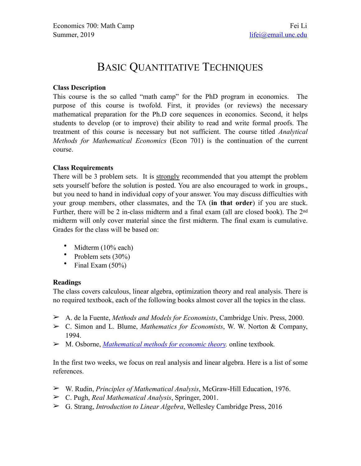# BASIC QUANTITATIVE TECHNIQUES

## **Class Description**

This course is the so called "math camp" for the PhD program in economics. The purpose of this course is twofold. First, it provides (or reviews) the necessary mathematical preparation for the Ph.D core sequences in economics. Second, it helps students to develop (or to improve) their ability to read and write formal proofs. The treatment of this course is necessary but not sufficient. The course titled *Analytical Methods for Mathematical Economics* (Econ 701) is the continuation of the current course.

## **Class Requirements**

There will be 3 problem sets. It is strongly recommended that you attempt the problem sets yourself before the solution is posted. You are also encouraged to work in groups., but you need to hand in individual copy of your answer. You may discuss difficulties with your group members, other classmates, and the TA (**in that order**) if you are stuck. Further, there will be 2 in-class midterm and a final exam (all are closed book). The 2nd midterm will only cover material since the first midterm. The final exam is cumulative. Grades for the class will be based on:

- Midterm (10% each)
- Problem sets (30%)
- Final Exam  $(50\%)$

#### **Readings**

The class covers calculous, linear algebra, optimization theory and real analysis. There is no required textbook, each of the following books almost cover all the topics in the class.

- ➢ A. de la Fuente, *Methods and Models for Economists*, Cambridge Univ. Press, 2000.
- ➢ C. Simon and L. Blume, *Mathematics for Economists*, W. W. Norton & Company, 1994.
- ➢ M. Osborne, *[Mathematical methods for economic theory.](http://mjo.osborne.economics.utoronto.ca/index.php/tutorial/index/1/toc)* online textbook*.*

In the first two weeks, we focus on real analysis and linear algebra. Here is a list of some references.

- ➢ W. Rudin, *Principles of Mathematical Analysis*, McGraw-Hill Education, 1976.
- ➢ C. Pugh, *Real Mathematical Analysis*, Springer, 2001.
- ➢ G. Strang, *Introduction to Linear Algebra*, Wellesley Cambridge Press, 2016